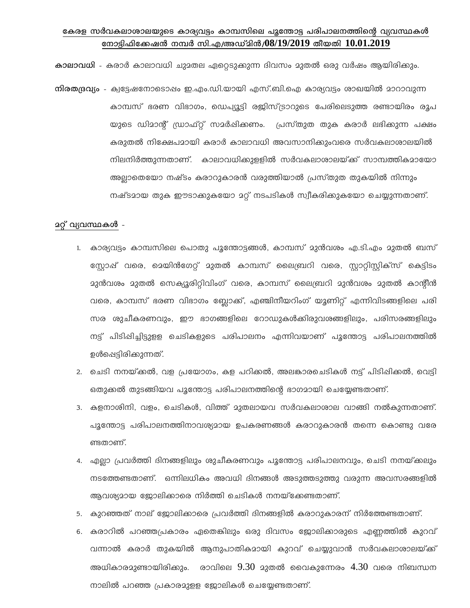## കേരള സർവകലാശാലയുടെ കാര്യവട്ടം കാമ്പസിലെ പൂന്തോട്ട പരിപാലനത്തിന്റെ വ്യവസ്ഥകൾ നോട്ടിഫിക്കേഷൻ നമ്പർ സി.എ/അഡ്മിൻ/ $08/19/2019$  തീയതി  $10.01.2019$

കാലാവധി - കരാർ കാലാവധി ചുമതല ഏറ്റെടുക്കുന്ന ദിവസം മുതൽ ഒരു വർഷം ആയിരിക്കും. നിരതദ്രവ്യം - ക്വട്ടേഷനോടൊഷം ഇ.എം.ഡി.യായി എസ്.ബി.ഐ കാര്യവട്ടം ശാഖയിൽ മാറാവുന്ന കാമ്പസ് ഭരണ വിഭാഗം, ഡെപ്യൂട്ടി രജിസ്ട്രാറുടെ പേരിലെടുത്ത രണ്ടായിരം രൂപ യുടെ ഡിമാന്റ് ഡ്രാഫ്റ്റ് സമർഷിക്കണം. പ്രസ്തുത തുക കരാർ ലഭിക്കുന്ന പക്ഷം കരുതൽ നിക്ഷേപമായി കരാർ കാലാവധി അവസാനിക്കുംവരെ സർവകലാശാലയിൽ നിലനിർത്തുന്നതാണ്. കാലാവധിക്കുളളിൽ സർവകലാശാലയ്ക്ക് സാമ്പത്തികമായോ അല്ലാതെയോ നഷ്ടം കരാറുകാരൻ വരുത്തിയാൽ പ്രസ്തുത തുകയിൽ നിന്നും നഷ്ടമായ തുക ഈടാക്കുകയോ മറ്റ് നടപടികൾ സ്വീകരിക്കുകയോ ചെയ്യുന്നതാണ്.

## **2റ്റ് വ്യവസ്ഥകൾ** -

- 1. കാര്യവട്ടം കാമ്പസിലെ പൊതു പൂന്തോട്ടങ്ങൾ, കാമ്പസ് മുൻവശം എ.ടി.എം മുതൽ ബസ് സ്റ്റോഷ് വരെ, മെയിൻഗേറ്റ് മുതൽ കാമ്പസ് ലൈബ്രറി വരെ, സ്റ്റാറ്റിസ്റ്റിക്സ് കെട്ടിടം മുൻവശം മുതൽ സെക്യൂരിറ്റിവിംഗ് വരെ, കാമ്പസ് ലൈബ്രറി മുൻവശം മുതൽ കാന്റീൻ വരെ, കാമ്പസ് ഭരണ വിഭാഗം ബ്ലോക്ക്, എഞ്ചിനീയറിംഗ് യൂണിറ്റ് എന്നിവിടങ്ങളിലെ പരി സര ശുചീകരണവും, ഈ ഭാഗങ്ങളിലെ റോഡുകൾക്കിരുവശങ്ങളിലും, പരിസരങ്ങളിലും നട്ട് പിടിഷിച്ചിട്ടുളള ചെടികളുടെ പരിപാലനം എന്നിവയാണ് പൂന്തോട്ട പരിപാലനത്തിൽ ഉൾഷെട്ടിരിക്കുന്നത്.
- 2. ചെടി നനയ്ക്കൽ, വള പ്രയോഗം, കള പറിക്കൽ, അലങ്കാരചെടികൾ നട്ട് പിടിപ്പിക്കൽ, വെട്ടി ഒതുക്കൽ തുടങ്ങിയവ പൂന്തോട്ട പരിപാലനത്തിന്റെ ഭാഗമായി ചെയ്യേണ്ടതാണ്.
- 3. കളനാശിനി, വളം, ചെടികൾ, വിത്ത് മുതലായവ സർവകലാശാല വാങ്ങി നൽകുന്നതാണ്. പൂന്തോട്ട പരിപാലനത്തിനാവശ്യമായ ഉപകരണങ്ങൾ കരാറുകാരൻ തന്നെ കൊണ്ടു വരേ ണ്ടതാണ്.
- 4. എല്ലാ പ്രവർത്തി ദിനങ്ങളിലും ശുചീകരണവും പൂന്തോട്ട പരിപാലനവും, ചെടി നനയ്ക്കലും നടത്തേണ്ടതാണ്. ഒന്നിലധികം അവധി ദിനങ്ങൾ അടുത്തടുത്തു വരുന്ന അവസരങ്ങളിൽ ആവശ്യമായ ജോലിക്കാരെ നിർത്തി ചെടികൾ നനയ്ക്കേണ്ടതാണ്.
- 5. കുറഞ്ഞത് നാല് ജോലിക്കാരെ പ്രവർത്തി ദിനങ്ങളിൽ കരാറുകാരന് നിർത്തേണ്ടതാണ്.
- 6. കരാറിൽ പറഞ്ഞപ്രകാരം ഏതെങ്കിലും ഒരു ദിവസം ജോലിക്കാരുടെ എണ്ണത്തിൽ കുറവ് വന്നാൽ കരാർ തുകയിൽ ആനുപാതികമായി കുറവ് ചെയ്യുവാൻ സർവകലാശാലയ്ക് അധികാരമുണ്ടായിരിക്കും. രാവിലെ  $9.30$  മുതൽ വൈകുന്നേരം  $4.30$  വരെ നിബന്ധന നാലിൽ പറഞ്ഞ പ്രകാരമുളള ജോലികൾ ചെയ്യേണ്ടതാണ്.